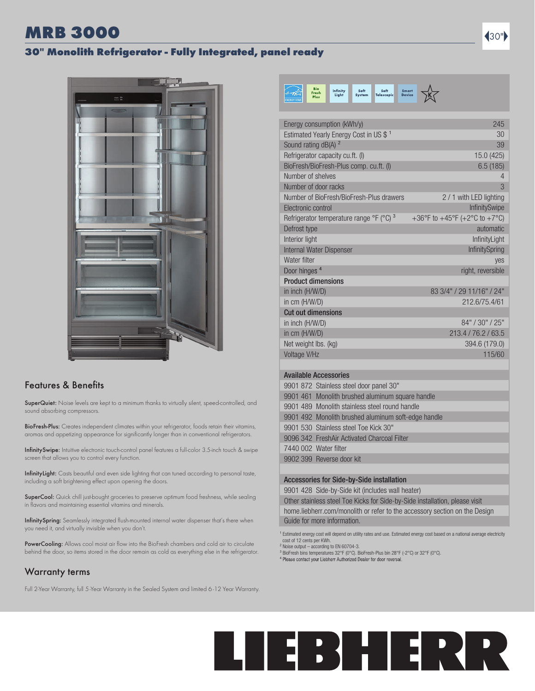# MRB 3000 30"

## 30" Monolith Refrigerator - Fully Integrated, panel ready



## Features & Benefits

SuperQuiet: Noise levels are kept to a minimum thanks to virtually silent, speed-controlled, and sound absorbing compressors.

BioFresh-Plus: Creates independent climates within your refrigerator, foods retain their vitamins, aromas and appetizing appearance for significantly longer than in conventional refrigerators.

InfinitySwipe: Intuitive electronic touch-control panel features a full-color 3.5-inch touch & swipe screen that allows you to control every function.

InfinityLight: Casts beautiful and even side lighting that can tuned according to personal taste, including a soft brightening effect upon opening the doors.

SuperCool: Quick chill just-bought groceries to preserve optimum food freshness, while sealing in flavors and maintaining essential vitamins and minerals.

InfinitySpring: Seamlessly integrated flush-mounted internal water dispenser that's there when you need it, and virtually invisible when you don't.

PowerCooling: Allows cool moist air flow into the BioFresh chambers and cold air to circulate behind the door, so items stored in the door remain as cold as everything else in the refrigerator.

## Warranty terms

Full 2-Year Warranty, full 5-Year Warranty in the Sealed System and limited 6 -12 Year Warranty.



| Energy consumption (kWh/y)                         | 245                           |
|----------------------------------------------------|-------------------------------|
| Estimated Yearly Energy Cost in US \$ <sup>1</sup> | 30                            |
| Sound rating dB(A) <sup>2</sup>                    | 39                            |
| Refrigerator capacity cu.ft. (I)                   | 15.0 (425)                    |
| BioFresh/BioFresh-Plus comp. cu.ft. (I)            | 6.5(185)                      |
| Number of shelves                                  | $\overline{4}$                |
| Number of door racks                               | 3                             |
| Number of BioFresh/BioFresh-Plus drawers           | 2 / 1 with LED lighting       |
| Electronic control                                 | <b>InfinitySwipe</b>          |
| Refrigerator temperature range °F (°C) 3           | +36°F to +45°F (+2°C to +7°C) |
| Defrost type                                       | automatic                     |
| Interior light                                     | InfinityLight                 |
| Internal Water Dispenser                           | <b>InfinitySpring</b>         |
| Water filter                                       | yes                           |
| Door hinges <sup>4</sup>                           | right, reversible             |
| <b>Product dimensions</b>                          |                               |
| in inch (H/W/D)                                    | 83 3/4" / 29 11/16" / 24"     |
| in cm (H/W/D)                                      | 212.6/75.4/61                 |
| <b>Cut out dimensions</b>                          |                               |
| in inch (H/W/D)                                    | 84" / 30" / 25"               |
| in cm (H/W/D)                                      | 213.4 / 76.2 / 63.5           |
| Net weight lbs. (kg)                               | 394.6 (179.0)                 |
| Voltage V/Hz                                       | 115/60                        |
|                                                    |                               |

## Available Accessories

|  | 9901 872 Stainless steel door panel 30"             |
|--|-----------------------------------------------------|
|  | 9901 461 Monolith brushed aluminum square handle    |
|  | 9901 489 Monolith stainless steel round handle      |
|  | 9901 492 Monolith brushed aluminum soft-edge handle |
|  | 9901 530 Stainless steel Toe Kick 30"               |
|  | 9096 342 FreshAir Activated Charcoal Filter         |
|  | 7440 002 Water filter                               |
|  | 9902 399 Reverse door kit                           |
|  |                                                     |

## Accessories for Side-by-Side installation

9901 428 Side-by-Side kit (includes wall heater)

Other stainless steel Toe Kicks for Side-by-Side installation, please visit home.liebherr.com/monolith or refer to the accessory section on the Design Guide for more information.

<sup>1</sup> Estimated energy cost will depend on utility rates and use. Estimated energy cost based on a national average electricity cost of 12 cents per KWh. ² Noise output – according to EN 60704-3.

³ BioFresh bins temperatures 32°F (0°C). BioFresh-Plus bin 28°F (-2°C) or 32°F (0°C).